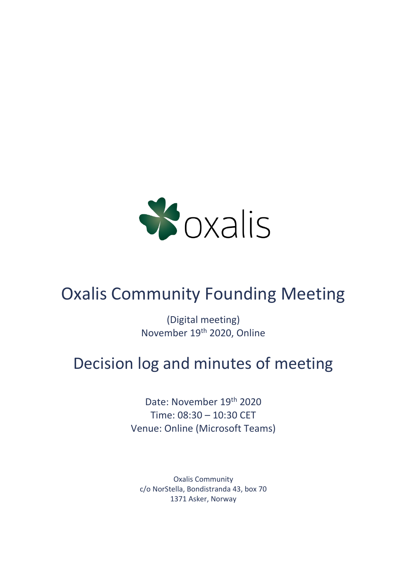

# Oxalis Community Founding Meeting

(Digital meeting) November 19th 2020, Online

# Decision log and minutes of meeting

Date: November 19th 2020 Time: 08:30 – 10:30 CET Venue: Online (Microsoft Teams)

Oxalis Community c/o NorStella, Bondistranda 43, box 70 1371 Asker, Norway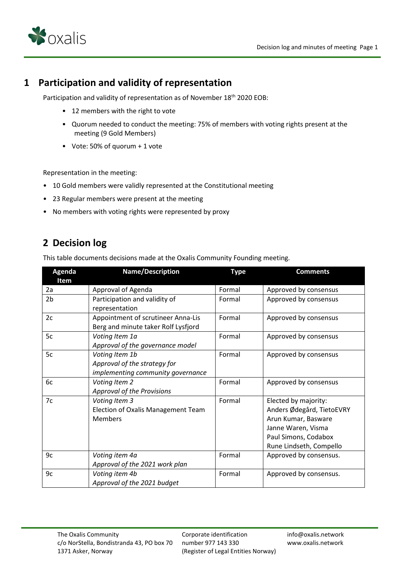

#### **1 Participation and validity of representation**

Participation and validity of representation as of November 18<sup>th</sup> 2020 EOB:

- 12 members with the right to vote
- Quorum needed to conduct the meeting: 75% of members with voting rights present at the meeting (9 Gold Members)
- Vote: 50% of quorum + 1 vote

Representation in the meeting:

- 10 Gold members were validly represented at the Constitutional meeting
- 23 Regular members were present at the meeting
- No members with voting rights were represented by proxy

#### **2 Decision log**

This table documents decisions made at the Oxalis Community Founding meeting.

| Agenda         | <b>Name/Description</b>             | <b>Type</b> | <b>Comments</b>           |
|----------------|-------------------------------------|-------------|---------------------------|
| Item           |                                     |             |                           |
| 2a             | Approval of Agenda                  | Formal      | Approved by consensus     |
| 2 <sub>b</sub> | Participation and validity of       | Formal      | Approved by consensus     |
|                | representation                      |             |                           |
| 2c             | Appointment of scrutineer Anna-Lis  | Formal      | Approved by consensus     |
|                | Berg and minute taker Rolf Lysfjord |             |                           |
| 5c             | Voting Item 1a                      | Formal      | Approved by consensus     |
|                | Approval of the governance model    |             |                           |
| 5c             | Voting Item 1b                      | Formal      | Approved by consensus     |
|                | Approval of the strategy for        |             |                           |
|                | implementing community governance   |             |                           |
| 6c             | Voting Item 2                       | Formal      | Approved by consensus     |
|                | Approval of the Provisions          |             |                           |
| 7c             | Voting Item 3                       | Formal      | Elected by majority:      |
|                | Election of Oxalis Management Team  |             | Anders Ødegård, TietoEVRY |
|                | <b>Members</b>                      |             | Arun Kumar, Basware       |
|                |                                     |             | Janne Waren, Visma        |
|                |                                     |             | Paul Simons, Codabox      |
|                |                                     |             | Rune Lindseth, Compello   |
| 9c             | Voting item 4a                      | Formal      | Approved by consensus.    |
|                | Approval of the 2021 work plan      |             |                           |
| 9c             | Voting item 4b                      | Formal      | Approved by consensus.    |
|                | Approval of the 2021 budget         |             |                           |

Corporate identification number 977 143 330 (Register of Legal Entities Norway) info@oxalis.network www.oxalis.network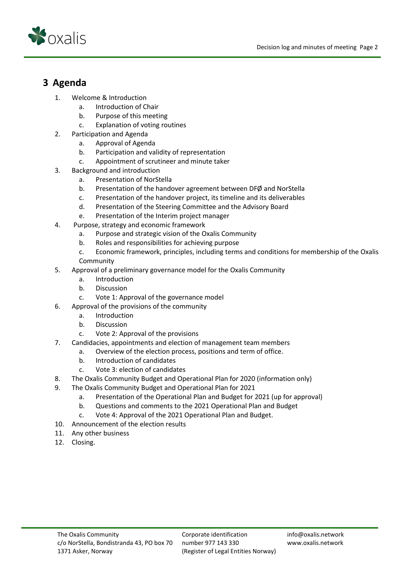



### **3 Agenda**

- 1. Welcome & Introduction
	- a. Introduction of Chair
	- b. Purpose of this meeting
	- c. Explanation of voting routines
- 2. Participation and Agenda
	- a. Approval of Agenda
	- b. Participation and validity of representation
	- c. Appointment of scrutineer and minute taker
- 3. Background and introduction
	- a. Presentation of NorStella
	- b. Presentation of the handover agreement between DFØ and NorStella
	- c. Presentation of the handover project, its timeline and its deliverables
	- d. Presentation of the Steering Committee and the Advisory Board
	- e. Presentation of the Interim project manager
- 4. Purpose, strategy and economic framework
	- a. Purpose and strategic vision of the Oxalis Community
	- b. Roles and responsibilities for achieving purpose
	- c. Economic framework, principles, including terms and conditions for membership of the Oxalis Community
- 5. Approval of a preliminary governance model for the Oxalis Community
	- a. Introduction
	- b. Discussion
	- c. Vote 1: Approval of the governance model
- 6. Approval of the provisions of the community
	- a. Introduction
	- b. Discussion
	- c. Vote 2: Approval of the provisions
- 7. Candidacies, appointments and election of management team members
	- a. Overview of the election process, positions and term of office.
		- b. Introduction of candidates
		- c. Vote 3: election of candidates
- 8. The Oxalis Community Budget and Operational Plan for 2020 (information only)
- 9. The Oxalis Community Budget and Operational Plan for 2021
	- a. Presentation of the Operational Plan and Budget for 2021 (up for approval)
	- b. Questions and comments to the 2021 Operational Plan and Budget
	- c. Vote 4: Approval of the 2021 Operational Plan and Budget.
- 10. Announcement of the election results
- 11. Any other business
- 12. Closing.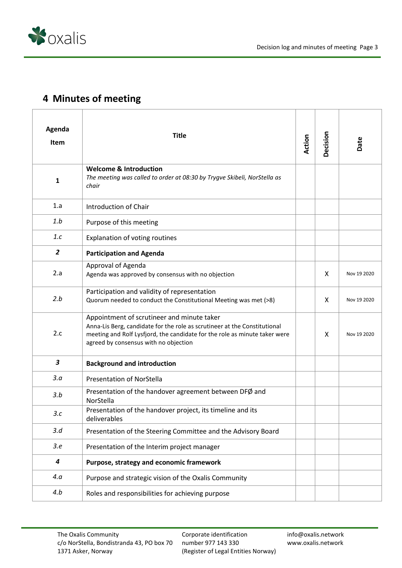

## **4 Minutes of meeting**

| Agenda<br>Item          | <b>Title</b>                                                                                                                                                                                                                                   | <b>Action</b> | Decision | Date        |
|-------------------------|------------------------------------------------------------------------------------------------------------------------------------------------------------------------------------------------------------------------------------------------|---------------|----------|-------------|
| $\mathbf{1}$            | <b>Welcome &amp; Introduction</b><br>The meeting was called to order at 08:30 by Trygve Skibeli, NorStella as<br>chair                                                                                                                         |               |          |             |
| 1.a                     | <b>Introduction of Chair</b>                                                                                                                                                                                                                   |               |          |             |
| 1.b                     | Purpose of this meeting                                                                                                                                                                                                                        |               |          |             |
| 1.c                     | Explanation of voting routines                                                                                                                                                                                                                 |               |          |             |
| $\overline{2}$          | <b>Participation and Agenda</b>                                                                                                                                                                                                                |               |          |             |
| 2.a                     | Approval of Agenda<br>Agenda was approved by consensus with no objection                                                                                                                                                                       |               | X        | Nov 19 2020 |
| 2.b                     | Participation and validity of representation<br>Quorum needed to conduct the Constitutional Meeting was met (>8)                                                                                                                               |               | X        | Nov 19 2020 |
| 2.c                     | Appointment of scrutineer and minute taker<br>Anna-Lis Berg, candidate for the role as scrutineer at the Constitutional<br>meeting and Rolf Lysfjord, the candidate for the role as minute taker were<br>agreed by consensus with no objection |               | X        | Nov 19 2020 |
| $\overline{\mathbf{3}}$ | <b>Background and introduction</b>                                                                                                                                                                                                             |               |          |             |
| 3.a                     | <b>Presentation of NorStella</b>                                                                                                                                                                                                               |               |          |             |
| 3.b                     | Presentation of the handover agreement between DFØ and<br>NorStella                                                                                                                                                                            |               |          |             |
| 3.c                     | Presentation of the handover project, its timeline and its<br>deliverables                                                                                                                                                                     |               |          |             |
| 3.d                     | Presentation of the Steering Committee and the Advisory Board                                                                                                                                                                                  |               |          |             |
| 3.e                     | Presentation of the Interim project manager                                                                                                                                                                                                    |               |          |             |
| 4                       | Purpose, strategy and economic framework                                                                                                                                                                                                       |               |          |             |
| 4.a                     | Purpose and strategic vision of the Oxalis Community                                                                                                                                                                                           |               |          |             |
| 4.b                     | Roles and responsibilities for achieving purpose                                                                                                                                                                                               |               |          |             |

Corporate identification number 977 143 330 (Register of Legal Entities Norway) info@oxalis.network www.oxalis.network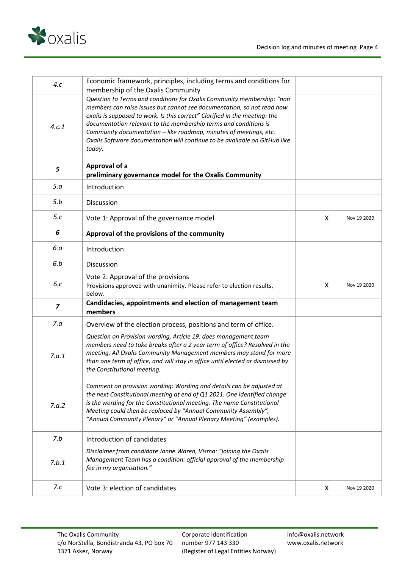

| 4.c            | Economic framework, principles, including terms and conditions for<br>membership of the Oxalis Community                                                                                                                                                                                                                                                                                                                                                        |                           |             |
|----------------|-----------------------------------------------------------------------------------------------------------------------------------------------------------------------------------------------------------------------------------------------------------------------------------------------------------------------------------------------------------------------------------------------------------------------------------------------------------------|---------------------------|-------------|
| 4.c.1          | Question to Terms and conditions for Oxalis Community membership: "non<br>members can raise issues but cannot see documentation, so not read how<br>oxalis is supposed to work. Is this correct" Clarified in the meeting: the<br>documentation relevant to the membership terms and conditions is<br>Community documentation - like roadmap, minutes of meetings, etc.<br>Oxalis Software documentation will continue to be available on GitHub like<br>today. |                           |             |
| 5              | Approval of a<br>preliminary governance model for the Oxalis Community                                                                                                                                                                                                                                                                                                                                                                                          |                           |             |
| 5.a            | Introduction                                                                                                                                                                                                                                                                                                                                                                                                                                                    |                           |             |
| 5.b            | Discussion                                                                                                                                                                                                                                                                                                                                                                                                                                                      |                           |             |
| 5.c            | Vote 1: Approval of the governance model                                                                                                                                                                                                                                                                                                                                                                                                                        | $\boldsymbol{\mathsf{X}}$ | Nov 19 2020 |
| 6              | Approval of the provisions of the community                                                                                                                                                                                                                                                                                                                                                                                                                     |                           |             |
| 6.a            | Introduction                                                                                                                                                                                                                                                                                                                                                                                                                                                    |                           |             |
| 6.b            | Discussion                                                                                                                                                                                                                                                                                                                                                                                                                                                      |                           |             |
| 6.c            | Vote 2: Approval of the provisions<br>Provisions approved with unanimity. Please refer to election results,<br>below.                                                                                                                                                                                                                                                                                                                                           | X                         | Nov 19 2020 |
| $\overline{z}$ | Candidacies, appointments and election of management team<br>members                                                                                                                                                                                                                                                                                                                                                                                            |                           |             |
| 7.a            | Overview of the election process, positions and term of office.                                                                                                                                                                                                                                                                                                                                                                                                 |                           |             |
| 7.a.1          | Question on Provision wording, Article 19: does management team<br>members need to take breaks after a 2 year term of office? Resolved in the<br>meeting. All Oxalis Community Management members may stand for more<br>than one term of office, and will stay in office until elected or dismissed by<br>the Constitutional meeting.                                                                                                                           |                           |             |
| 7.a.2          | Comment on provision wording: Wording and details can be adjusted at<br>the next Constitutional meeting at end of Q1 2021. One identified change<br>is the wording for the Constitutional meeting. The name Constitutional<br>Meeting could then be replaced by "Annual Community Assembly",<br>"Annual Community Plenary" or "Annual Plenary Meeting" (examples).                                                                                              |                           |             |
| 7.b            | Introduction of candidates                                                                                                                                                                                                                                                                                                                                                                                                                                      |                           |             |
| 7.b.1          | Disclaimer from candidate Janne Waren, Visma: "joining the Oxalis<br>Management Team has a condition: official approval of the membership<br>fee in my organisation."                                                                                                                                                                                                                                                                                           |                           |             |
| 7.c            | Vote 3: election of candidates                                                                                                                                                                                                                                                                                                                                                                                                                                  | X                         | Nov 19 2020 |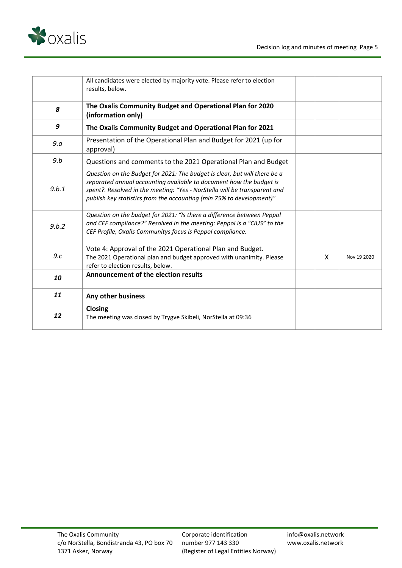

|       | All candidates were elected by majority vote. Please refer to election<br>results, below.                                                                                                                                                                                                             |   |             |
|-------|-------------------------------------------------------------------------------------------------------------------------------------------------------------------------------------------------------------------------------------------------------------------------------------------------------|---|-------------|
| 8     | The Oxalis Community Budget and Operational Plan for 2020<br>(information only)                                                                                                                                                                                                                       |   |             |
| 9     | The Oxalis Community Budget and Operational Plan for 2021                                                                                                                                                                                                                                             |   |             |
| 9.a   | Presentation of the Operational Plan and Budget for 2021 (up for<br>approval)                                                                                                                                                                                                                         |   |             |
| 9.b   | Questions and comments to the 2021 Operational Plan and Budget                                                                                                                                                                                                                                        |   |             |
| 9.b.1 | Question on the Budget for 2021: The budget is clear, but will there be a<br>separated annual accounting available to document how the budget is<br>spent?. Resolved in the meeting: "Yes - NorStella will be transparent and<br>publish key statistics from the accounting (min 75% to development)" |   |             |
| 9.b.2 | Question on the budget for 2021: "Is there a difference between Peppol<br>and CEF compliance?" Resolved in the meeting: Peppol is a "CIUS" to the<br>CEF Profile, Oxalis Communitys focus is Peppol compliance.                                                                                       |   |             |
| 9.c   | Vote 4: Approval of the 2021 Operational Plan and Budget.<br>The 2021 Operational plan and budget approved with unanimity. Please<br>refer to election results, below.                                                                                                                                | X | Nov 19 2020 |
| 10    | Announcement of the election results                                                                                                                                                                                                                                                                  |   |             |
| 11    | Any other business                                                                                                                                                                                                                                                                                    |   |             |
| 12    | Closing<br>The meeting was closed by Trygve Skibeli, NorStella at 09:36                                                                                                                                                                                                                               |   |             |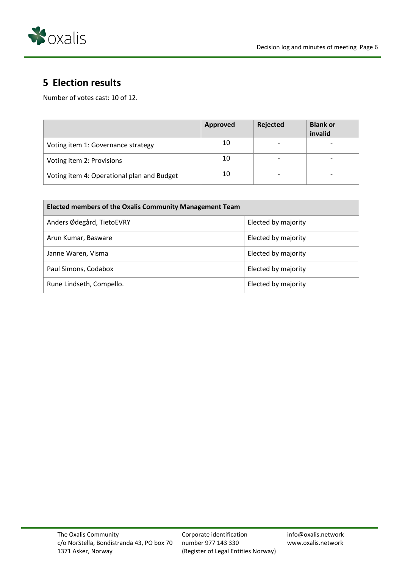

## **5 Election results**

Number of votes cast: 10 of 12.

|                                            | Approved | Rejected | <b>Blank or</b><br>invalid |
|--------------------------------------------|----------|----------|----------------------------|
| Voting item 1: Governance strategy         | 10       |          |                            |
| Voting item 2: Provisions                  | 10       |          |                            |
| Voting item 4: Operational plan and Budget | 10       |          |                            |

| <b>Elected members of the Oxalis Community Management Team</b> |                     |  |  |
|----------------------------------------------------------------|---------------------|--|--|
| Anders Ødegård, TietoEVRY                                      | Elected by majority |  |  |
| Arun Kumar, Basware                                            | Elected by majority |  |  |
| Janne Waren, Visma                                             | Elected by majority |  |  |
| Paul Simons, Codabox                                           | Elected by majority |  |  |
| Rune Lindseth, Compello.                                       | Elected by majority |  |  |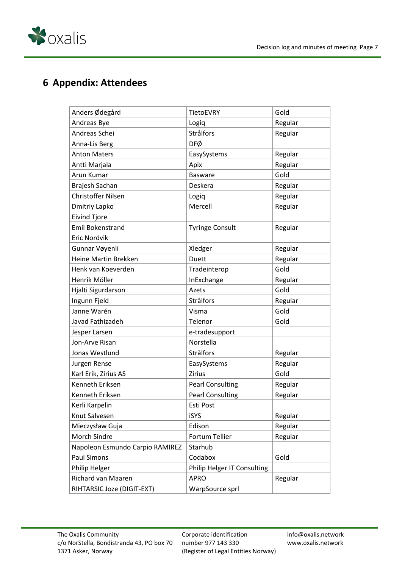

### **6 Appendix: Attendees**

| Anders Ødegård                  | <b>TietoEVRY</b>                   | Gold    |
|---------------------------------|------------------------------------|---------|
| Andreas Bye                     | Logiq                              | Regular |
| Andreas Schei                   | Strålfors                          | Regular |
| Anna-Lis Berg                   | DFØ                                |         |
| <b>Anton Maters</b>             | EasySystems                        | Regular |
| Antti Marjala                   | Apix                               | Regular |
| Arun Kumar                      | <b>Basware</b>                     | Gold    |
| Brajesh Sachan                  | Deskera                            | Regular |
| <b>Christoffer Nilsen</b>       | Logiq                              | Regular |
| Dmitriy Lapko                   | Mercell                            | Regular |
| <b>Eivind Tjore</b>             |                                    |         |
| <b>Emil Bokenstrand</b>         | <b>Tyringe Consult</b>             | Regular |
| Eric Nordvik                    |                                    |         |
| Gunnar Vøyenli                  | Xledger                            | Regular |
| Heine Martin Brekken            | Duett                              | Regular |
| Henk van Koeverden              | Tradeinterop                       | Gold    |
| Henrik Möller                   | InExchange                         | Regular |
| Hjalti Sigurdarson              | Azets                              | Gold    |
| Ingunn Fjeld                    | Strålfors                          | Regular |
| Janne Warén                     | Visma                              | Gold    |
| Javad Fathizadeh                | Telenor                            | Gold    |
| Jesper Larsen                   | e-tradesupport                     |         |
| Jon-Arve Risan                  | Norstella                          |         |
| Jonas Westlund                  | Strålfors                          | Regular |
| Jurgen Rense                    | EasySystems                        | Regular |
| Karl Erik, Zirius AS            | <b>Zirius</b>                      | Gold    |
| Kenneth Eriksen                 | <b>Pearl Consulting</b>            | Regular |
| Kenneth Eriksen                 | <b>Pearl Consulting</b>            | Regular |
| Kerli Karpelin                  | Esti Post                          |         |
| Knut Salvesen                   | iSYS                               | Regular |
| Mieczysław Guja                 | Edison                             | Regular |
| Morch Sindre                    | Fortum Tellier                     | Regular |
| Napoleon Esmundo Carpio RAMIREZ | Starhub                            |         |
| <b>Paul Simons</b>              | Codabox                            | Gold    |
| Philip Helger                   | <b>Philip Helger IT Consulting</b> |         |
| Richard van Maaren              | <b>APRO</b>                        | Regular |
| RIHTARSIC Joze (DIGIT-EXT)      | WarpSource sprl                    |         |

Corporate identification number 977 143 330 (Register of Legal Entities Norway) info@oxalis.network www.oxalis.network